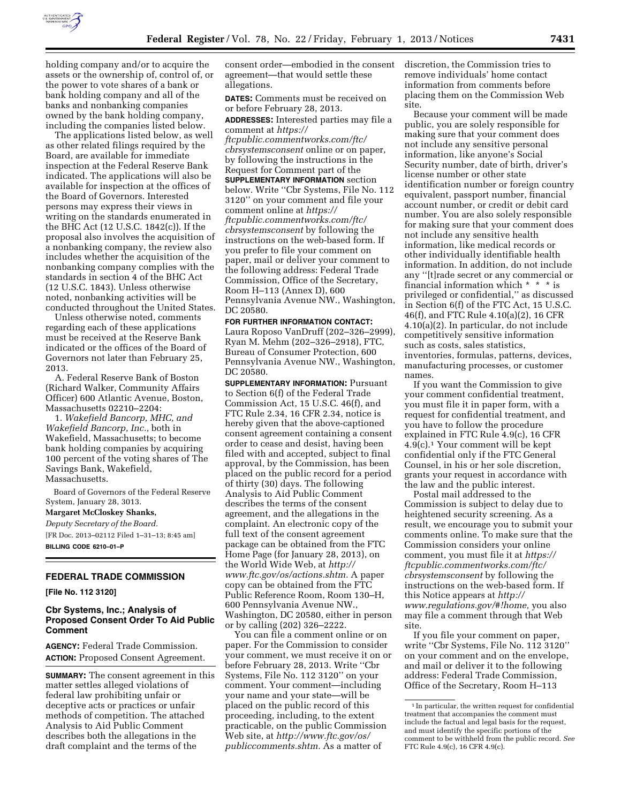

holding company and/or to acquire the assets or the ownership of, control of, or the power to vote shares of a bank or bank holding company and all of the banks and nonbanking companies owned by the bank holding company, including the companies listed below.

The applications listed below, as well as other related filings required by the Board, are available for immediate inspection at the Federal Reserve Bank indicated. The applications will also be available for inspection at the offices of the Board of Governors. Interested persons may express their views in writing on the standards enumerated in the BHC Act (12 U.S.C. 1842(c)). If the proposal also involves the acquisition of a nonbanking company, the review also includes whether the acquisition of the nonbanking company complies with the standards in section 4 of the BHC Act (12 U.S.C. 1843). Unless otherwise noted, nonbanking activities will be conducted throughout the United States.

Unless otherwise noted, comments regarding each of these applications must be received at the Reserve Bank indicated or the offices of the Board of Governors not later than February 25, 2013.

A. Federal Reserve Bank of Boston (Richard Walker, Community Affairs Officer) 600 Atlantic Avenue, Boston, Massachusetts 02210–2204:

1. *Wakefield Bancorp, MHC, and Wakefield Bancorp, Inc.,* both in Wakefield, Massachusetts; to become bank holding companies by acquiring 100 percent of the voting shares of The Savings Bank, Wakefield, Massachusetts.

Board of Governors of the Federal Reserve System, January 28, 3013.

**Margaret McCloskey Shanks,** 

*Deputy Secretary of the Board.* 

[FR Doc. 2013–02112 Filed 1–31–13; 8:45 am] **BILLING CODE 6210–01–P** 

# **FEDERAL TRADE COMMISSION**

**[File No. 112 3120]** 

## **Cbr Systems, Inc.; Analysis of Proposed Consent Order To Aid Public Comment**

**AGENCY:** Federal Trade Commission. **ACTION:** Proposed Consent Agreement.

**SUMMARY:** The consent agreement in this matter settles alleged violations of federal law prohibiting unfair or deceptive acts or practices or unfair methods of competition. The attached Analysis to Aid Public Comment describes both the allegations in the draft complaint and the terms of the

consent order—embodied in the consent agreement—that would settle these allegations.

**DATES:** Comments must be received on or before February 28, 2013.

**ADDRESSES:** Interested parties may file a comment at *[https://](https://ftcpublic.commentworks.com/ftc/cbrsystemsconsent)* 

*[ftcpublic.commentworks.com/ftc/](https://ftcpublic.commentworks.com/ftc/cbrsystemsconsent)  [cbrsystemsconsent](https://ftcpublic.commentworks.com/ftc/cbrsystemsconsent)* online or on paper, by following the instructions in the Request for Comment part of the

**SUPPLEMENTARY INFORMATION** section below. Write ''Cbr Systems, File No. 112 3120'' on your comment and file your comment online at *[https://](https://ftcpublic.commentworks.com/ftc/cbrsystemsconsent) [ftcpublic.commentworks.com/ftc/](https://ftcpublic.commentworks.com/ftc/cbrsystemsconsent)  [cbrsystemsconsent](https://ftcpublic.commentworks.com/ftc/cbrsystemsconsent)* by following the instructions on the web-based form. If you prefer to file your comment on paper, mail or deliver your comment to the following address: Federal Trade Commission, Office of the Secretary, Room H–113 (Annex D), 600 Pennsylvania Avenue NW., Washington, DC 20580.

**FOR FURTHER INFORMATION CONTACT:**  Laura Roposo VanDruff (202–326–2999), Ryan M. Mehm (202–326–2918), FTC, Bureau of Consumer Protection, 600 Pennsylvania Avenue NW., Washington, DC 20580.

**SUPPLEMENTARY INFORMATION: Pursuant** to Section 6(f) of the Federal Trade Commission Act, 15 U.S.C. 46(f), and FTC Rule 2.34, 16 CFR 2.34, notice is hereby given that the above-captioned consent agreement containing a consent order to cease and desist, having been filed with and accepted, subject to final approval, by the Commission, has been placed on the public record for a period of thirty (30) days. The following Analysis to Aid Public Comment describes the terms of the consent agreement, and the allegations in the complaint. An electronic copy of the full text of the consent agreement package can be obtained from the FTC Home Page (for January 28, 2013), on the World Wide Web, at *[http://](http://www.ftc.gov/os/actions.shtm) [www.ftc.gov/os/actions.shtm.](http://www.ftc.gov/os/actions.shtm)* A paper copy can be obtained from the FTC Public Reference Room, Room 130–H, 600 Pennsylvania Avenue NW., Washington, DC 20580, either in person or by calling (202) 326–2222.

You can file a comment online or on paper. For the Commission to consider your comment, we must receive it on or before February 28, 2013. Write ''Cbr Systems, File No. 112 3120'' on your comment. Your comment—including your name and your state—will be placed on the public record of this proceeding, including, to the extent practicable, on the public Commission Web site, at *[http://www.ftc.gov/os/](http://www.ftc.gov/os/publiccomments.shtm) [publiccomments.shtm.](http://www.ftc.gov/os/publiccomments.shtm)* As a matter of

discretion, the Commission tries to remove individuals' home contact information from comments before placing them on the Commission Web site.

Because your comment will be made public, you are solely responsible for making sure that your comment does not include any sensitive personal information, like anyone's Social Security number, date of birth, driver's license number or other state identification number or foreign country equivalent, passport number, financial account number, or credit or debit card number. You are also solely responsible for making sure that your comment does not include any sensitive health information, like medical records or other individually identifiable health information. In addition, do not include any ''[t]rade secret or any commercial or financial information which \* \* \* is privileged or confidential,'' as discussed in Section 6(f) of the FTC Act, 15 U.S.C. 46(f), and FTC Rule 4.10(a)(2), 16 CFR 4.10(a)(2). In particular, do not include competitively sensitive information such as costs, sales statistics, inventories, formulas, patterns, devices, manufacturing processes, or customer names.

If you want the Commission to give your comment confidential treatment, you must file it in paper form, with a request for confidential treatment, and you have to follow the procedure explained in FTC Rule 4.9(c), 16 CFR  $4.\overline{9}$ (c).<sup>1</sup> Your comment will be kept confidential only if the FTC General Counsel, in his or her sole discretion, grants your request in accordance with the law and the public interest.

Postal mail addressed to the Commission is subject to delay due to heightened security screening. As a result, we encourage you to submit your comments online. To make sure that the Commission considers your online comment, you must file it at *[https://](https://ftcpublic.commentworks.com/ftc/cbrsystemsconsent) [ftcpublic.commentworks.com/ftc/](https://ftcpublic.commentworks.com/ftc/cbrsystemsconsent)  [cbrsystemsconsent](https://ftcpublic.commentworks.com/ftc/cbrsystemsconsent)* by following the instructions on the web-based form. If this Notice appears at *[http://](http://www.regulations.gov/#!home) [www.regulations.gov/#!home,](http://www.regulations.gov/#!home)* you also may file a comment through that Web site.

If you file your comment on paper, write ''Cbr Systems, File No. 112 3120'' on your comment and on the envelope, and mail or deliver it to the following address: Federal Trade Commission, Office of the Secretary, Room H–113

 $^{\rm 1}$  In particular, the written request for confidential treatment that accompanies the comment must include the factual and legal basis for the request, and must identify the specific portions of the comment to be withheld from the public record. *See*  FTC Rule 4.9(c), 16 CFR 4.9(c).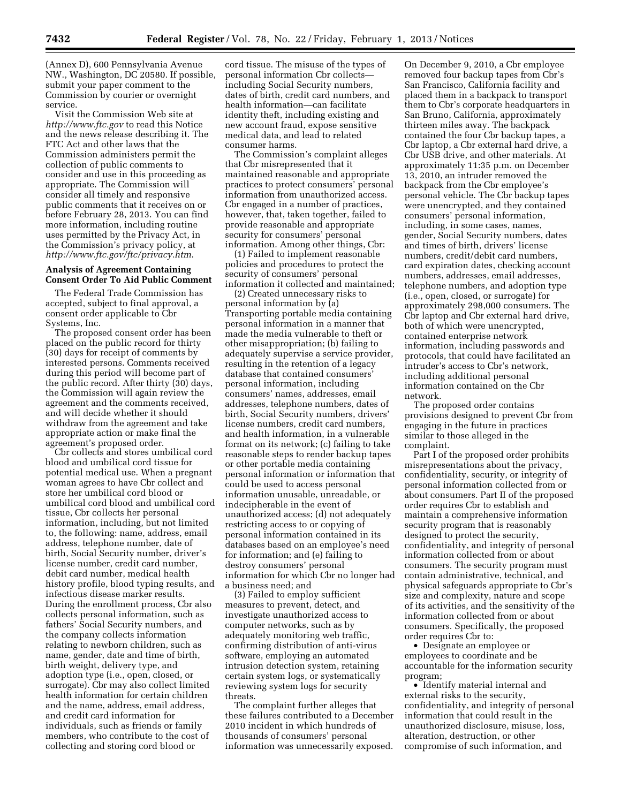(Annex D), 600 Pennsylvania Avenue NW., Washington, DC 20580. If possible, submit your paper comment to the Commission by courier or overnight service.

Visit the Commission Web site at *<http://www.ftc.gov>*to read this Notice and the news release describing it. The FTC Act and other laws that the Commission administers permit the collection of public comments to consider and use in this proceeding as appropriate. The Commission will consider all timely and responsive public comments that it receives on or before February 28, 2013. You can find more information, including routine uses permitted by the Privacy Act, in the Commission's privacy policy, at *<http://www.ftc.gov/ftc/privacy.htm>*.

### **Analysis of Agreement Containing Consent Order To Aid Public Comment**

The Federal Trade Commission has accepted, subject to final approval, a consent order applicable to Cbr Systems, Inc.

The proposed consent order has been placed on the public record for thirty (30) days for receipt of comments by interested persons. Comments received during this period will become part of the public record. After thirty (30) days, the Commission will again review the agreement and the comments received, and will decide whether it should withdraw from the agreement and take appropriate action or make final the agreement's proposed order.

Cbr collects and stores umbilical cord blood and umbilical cord tissue for potential medical use. When a pregnant woman agrees to have Cbr collect and store her umbilical cord blood or umbilical cord blood and umbilical cord tissue, Cbr collects her personal information, including, but not limited to, the following: name, address, email address, telephone number, date of birth, Social Security number, driver's license number, credit card number, debit card number, medical health history profile, blood typing results, and infectious disease marker results. During the enrollment process, Cbr also collects personal information, such as fathers' Social Security numbers, and the company collects information relating to newborn children, such as name, gender, date and time of birth, birth weight, delivery type, and adoption type (i.e., open, closed, or surrogate). Cbr may also collect limited health information for certain children and the name, address, email address, and credit card information for individuals, such as friends or family members, who contribute to the cost of collecting and storing cord blood or

cord tissue. The misuse of the types of personal information Cbr collects including Social Security numbers, dates of birth, credit card numbers, and health information—can facilitate identity theft, including existing and new account fraud, expose sensitive medical data, and lead to related consumer harms.

The Commission's complaint alleges that Cbr misrepresented that it maintained reasonable and appropriate practices to protect consumers' personal information from unauthorized access. Cbr engaged in a number of practices, however, that, taken together, failed to provide reasonable and appropriate security for consumers' personal information. Among other things, Cbr:

(1) Failed to implement reasonable policies and procedures to protect the security of consumers' personal information it collected and maintained;

(2) Created unnecessary risks to personal information by (a) Transporting portable media containing personal information in a manner that made the media vulnerable to theft or other misappropriation; (b) failing to adequately supervise a service provider, resulting in the retention of a legacy database that contained consumers' personal information, including consumers' names, addresses, email addresses, telephone numbers, dates of birth, Social Security numbers, drivers' license numbers, credit card numbers, and health information, in a vulnerable format on its network; (c) failing to take reasonable steps to render backup tapes or other portable media containing personal information or information that could be used to access personal information unusable, unreadable, or indecipherable in the event of unauthorized access; (d) not adequately restricting access to or copying of personal information contained in its databases based on an employee's need for information; and (e) failing to destroy consumers' personal information for which Cbr no longer had a business need; and

(3) Failed to employ sufficient measures to prevent, detect, and investigate unauthorized access to computer networks, such as by adequately monitoring web traffic, confirming distribution of anti-virus software, employing an automated intrusion detection system, retaining certain system logs, or systematically reviewing system logs for security threats.

The complaint further alleges that these failures contributed to a December 2010 incident in which hundreds of thousands of consumers' personal information was unnecessarily exposed.

On December 9, 2010, a Cbr employee removed four backup tapes from Cbr's San Francisco, California facility and placed them in a backpack to transport them to Cbr's corporate headquarters in San Bruno, California, approximately thirteen miles away. The backpack contained the four Cbr backup tapes, a Cbr laptop, a Cbr external hard drive, a Cbr USB drive, and other materials. At approximately 11:35 p.m. on December 13, 2010, an intruder removed the backpack from the Cbr employee's personal vehicle. The Cbr backup tapes were unencrypted, and they contained consumers' personal information, including, in some cases, names, gender, Social Security numbers, dates and times of birth, drivers' license numbers, credit/debit card numbers, card expiration dates, checking account numbers, addresses, email addresses, telephone numbers, and adoption type (i.e., open, closed, or surrogate) for approximately 298,000 consumers. The Cbr laptop and Cbr external hard drive, both of which were unencrypted, contained enterprise network information, including passwords and protocols, that could have facilitated an intruder's access to Cbr's network, including additional personal information contained on the Cbr network.

The proposed order contains provisions designed to prevent Cbr from engaging in the future in practices similar to those alleged in the complaint.

Part I of the proposed order prohibits misrepresentations about the privacy, confidentiality, security, or integrity of personal information collected from or about consumers. Part II of the proposed order requires Cbr to establish and maintain a comprehensive information security program that is reasonably designed to protect the security, confidentiality, and integrity of personal information collected from or about consumers. The security program must contain administrative, technical, and physical safeguards appropriate to Cbr's size and complexity, nature and scope of its activities, and the sensitivity of the information collected from or about consumers. Specifically, the proposed order requires Cbr to:

• Designate an employee or employees to coordinate and be accountable for the information security program;

• Identify material internal and external risks to the security, confidentiality, and integrity of personal information that could result in the unauthorized disclosure, misuse, loss, alteration, destruction, or other compromise of such information, and